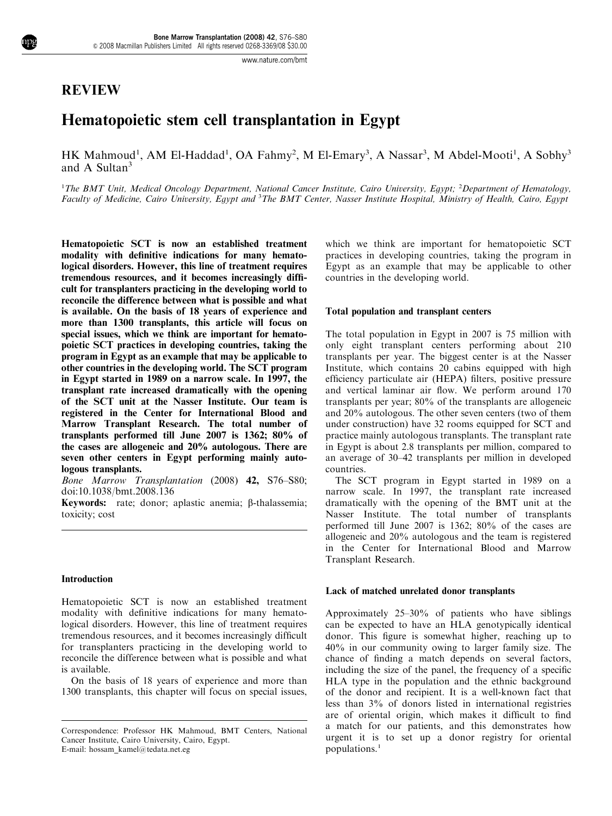# REVIEW

# Hematopoietic stem cell transplantation in Egypt

HK Mahmoud<sup>1</sup>, AM El-Haddad<sup>1</sup>, OA Fahmy<sup>2</sup>, M El-Emary<sup>3</sup>, A Nassar<sup>3</sup>, M Abdel-Mooti<sup>1</sup>, A Sobhy<sup>3</sup> and A Sultan<sup>3</sup>

<sup>1</sup>The BMT Unit, Medical Oncology Department, National Cancer Institute, Cairo University, Egypt; <sup>2</sup>Department of Hematology, Faculty of Medicine, Cairo University, Egypt and <sup>3</sup>The BMT Center, Nasser Institute Hospital, Ministry of Health, Cairo, Egypt

Hematopoietic SCT is now an established treatment modality with definitive indications for many hematological disorders. However, this line of treatment requires tremendous resources, and it becomes increasingly difficult for transplanters practicing in the developing world to reconcile the difference between what is possible and what is available.On the basis of 18 years of experience and more than 1300 transplants, this article will focus on special issues, which we think are important for hematopoietic SCT practices in developing countries, taking the program in Egypt as an example that may be applicable to other countries in the developing world.The SCT program in Egypt started in 1989 on a narrow scale.In 1997, the transplant rate increased dramatically with the opening of the SCT unit at the Nasser Institute. Our team is registered in the Center for International Blood and Marrow Transplant Research.The total number of transplants performed till June 2007 is 1362; 80% of the cases are allogeneic and 20% autologous.There are seven other centers in Egypt performing mainly autologous transplants.

Bone Marrow Transplantation (2008) 42, S76–S80; doi:10.1038/bmt.2008.136

Keywords: rate; donor; aplastic anemia;  $\beta$ -thalassemia; toxicity; cost

#### Introduction

Hematopoietic SCT is now an established treatment modality with definitive indications for many hematological disorders. However, this line of treatment requires tremendous resources, and it becomes increasingly difficult for transplanters practicing in the developing world to reconcile the difference between what is possible and what is available.

On the basis of 18 years of experience and more than 1300 transplants, this chapter will focus on special issues,

E-mail: hossam\_kamel@tedata.net.eg

which we think are important for hematopoietic SCT practices in developing countries, taking the program in Egypt as an example that may be applicable to other countries in the developing world.

#### Total population and transplant centers

The total population in Egypt in 2007 is 75 million with only eight transplant centers performing about 210 transplants per year. The biggest center is at the Nasser Institute, which contains 20 cabins equipped with high efficiency particulate air (HEPA) filters, positive pressure and vertical laminar air flow. We perform around 170 transplants per year; 80% of the transplants are allogeneic and 20% autologous. The other seven centers (two of them under construction) have 32 rooms equipped for SCT and practice mainly autologous transplants. The transplant rate in Egypt is about 2.8 transplants per million, compared to an average of 30–42 transplants per million in developed countries.

The SCT program in Egypt started in 1989 on a narrow scale. In 1997, the transplant rate increased dramatically with the opening of the BMT unit at the Nasser Institute. The total number of transplants performed till June 2007 is 1362; 80% of the cases are allogeneic and 20% autologous and the team is registered in the Center for International Blood and Marrow Transplant Research.

#### Lack of matched unrelated donor transplants

Approximately 25–30% of patients who have siblings can be expected to have an HLA genotypically identical donor. This figure is somewhat higher, reaching up to 40% in our community owing to larger family size. The chance of finding a match depends on several factors, including the size of the panel, the frequency of a specific HLA type in the population and the ethnic background of the donor and recipient. It is a well-known fact that less than 3% of donors listed in international registries are of oriental origin, which makes it difficult to find a match for our patients, and this demonstrates how urgent it is to set up a donor registry for oriental populations.[1](#page-3-0)

Correspondence: Professor HK Mahmoud, BMT Centers, National Cancer Institute, Cairo University, Cairo, Egypt.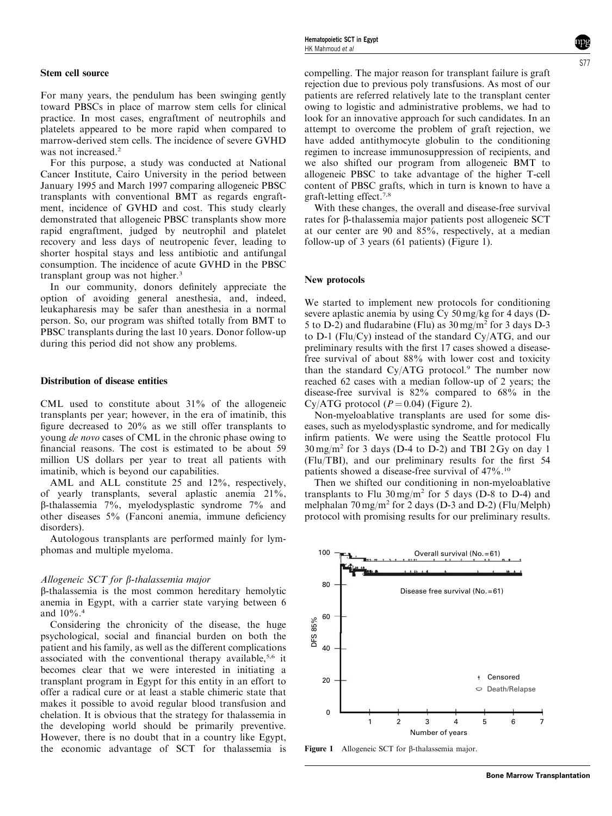For many years, the pendulum has been swinging gently toward PBSCs in place of marrow stem cells for clinical practice. In most cases, engraftment of neutrophils and platelets appeared to be more rapid when compared to marrow-derived stem cells. The incidence of severe GVHD was not increased.<sup>[2](#page-3-0)</sup>

For this purpose, a study was conducted at National Cancer Institute, Cairo University in the period between January 1995 and March 1997 comparing allogeneic PBSC transplants with conventional BMT as regards engraftment, incidence of GVHD and cost. This study clearly demonstrated that allogeneic PBSC transplants show more rapid engraftment, judged by neutrophil and platelet recovery and less days of neutropenic fever, leading to shorter hospital stays and less antibiotic and antifungal consumption. The incidence of acute GVHD in the PBSC transplant group was not higher.<sup>3</sup>

In our community, donors definitely appreciate the option of avoiding general anesthesia, and, indeed, leukapharesis may be safer than anesthesia in a normal person. So, our program was shifted totally from BMT to PBSC transplants during the last 10 years. Donor follow-up during this period did not show any problems.

#### Distribution of disease entities

CML used to constitute about 31% of the allogeneic transplants per year; however, in the era of imatinib, this figure decreased to 20% as we still offer transplants to young de novo cases of CML in the chronic phase owing to financial reasons. The cost is estimated to be about 59 million US dollars per year to treat all patients with imatinib, which is beyond our capabilities.

AML and ALL constitute 25 and 12%, respectively, of yearly transplants, several aplastic anemia 21%, b-thalassemia 7%, myelodysplastic syndrome 7% and other diseases 5% (Fanconi anemia, immune deficiency disorders).

Autologous transplants are performed mainly for lymphomas and multiple myeloma.

#### Allogeneic SCT for  $\beta$ -thalassemia major

b-thalassemia is the most common hereditary hemolytic anemia in Egypt, with a carrier state varying between 6 and 10%.[4](#page-3-0)

Considering the chronicity of the disease, the huge psychological, social and financial burden on both the patient and his family, as well as the different complications associated with the conventional therapy available,<sup>[5,6](#page-3-0)</sup> it becomes clear that we were interested in initiating a transplant program in Egypt for this entity in an effort to offer a radical cure or at least a stable chimeric state that makes it possible to avoid regular blood transfusion and chelation. It is obvious that the strategy for thalassemia in the developing world should be primarily preventive. However, there is no doubt that in a country like Egypt, the economic advantage of SCT for thalassemia is

compelling. The major reason for transplant failure is graft rejection due to previous poly transfusions. As most of our patients are referred relatively late to the transplant center owing to logistic and administrative problems, we had to look for an innovative approach for such candidates. In an attempt to overcome the problem of graft rejection, we have added antithymocyte globulin to the conditioning regimen to increase immunosuppression of recipients, and we also shifted our program from allogeneic BMT to allogeneic PBSC to take advantage of the higher T-cell content of PBSC grafts, which in turn is known to have a graft-letting effect.[7,8](#page-3-0)

With these changes, the overall and disease-free survival rates for β-thalassemia major patients post allogeneic SCT at our center are 90 and 85%, respectively, at a median follow-up of 3 years (61 patients) (Figure 1).

#### New protocols

We started to implement new protocols for conditioning severe aplastic anemia by using Cy 50 mg/kg for 4 days (D-5 to D-2) and fludarabine (Flu) as 30 mg/m2 for 3 days D-3 to D-1 (Flu/Cy) instead of the standard Cy/ATG, and our preliminary results with the first 17 cases showed a diseasefree survival of about 88% with lower cost and toxicity than the standard Cy/ATG protocol.<sup>[9](#page-3-0)</sup> The number now reached 62 cases with a median follow-up of 2 years; the disease-free survival is 82% compared to 68% in the Cy/ATG protocol ( $P = 0.04$ ) [\(Figure 2\)](#page-2-0).

Non-myeloablative transplants are used for some diseases, such as myelodysplastic syndrome, and for medically infirm patients. We were using the Seattle protocol Flu  $30 \text{ mg/m}^2$  for 3 days (D-4 to D-2) and TBI 2 Gy on day 1 (Flu/TBI), and our preliminary results for the first 54 patients showed a disease-free survival of 47%.[10](#page-3-0)

Then we shifted our conditioning in non-myeloablative transplants to Flu  $30 \text{ mg/m}^2$  for 5 days (D-8 to D-4) and melphalan  $70 \,\text{mg/m}^2$  for 2 days (D-3 and D-2) (Flu/Melph) protocol with promising results for our preliminary results.



Figure 1 Allogeneic SCT for B-thalassemia major.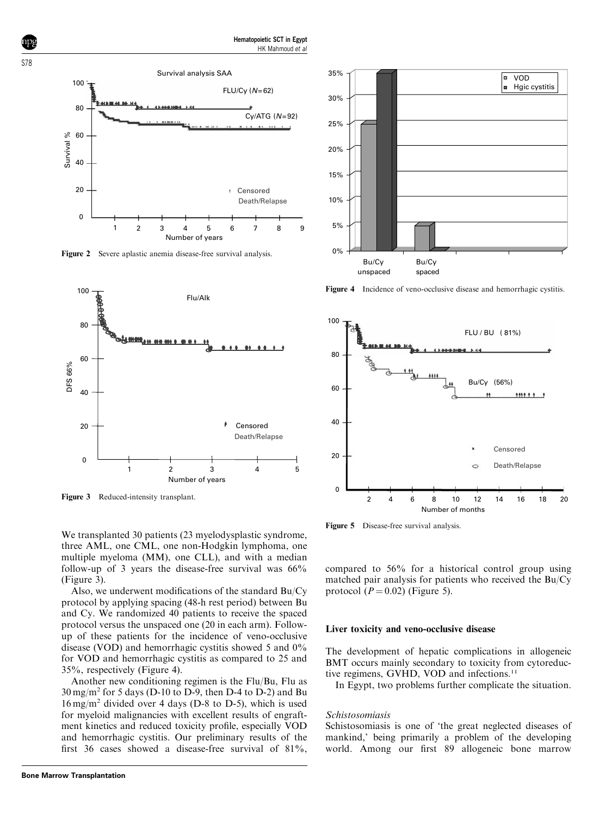<span id="page-2-0"></span>

Figure 2 Severe aplastic anemia disease-free survival analysis.



Figure 3 Reduced-intensity transplant.

We transplanted 30 patients (23 myelodysplastic syndrome, three AML, one CML, one non-Hodgkin lymphoma, one multiple myeloma (MM), one CLL), and with a median follow-up of 3 years the disease-free survival was 66% (Figure 3).

Also, we underwent modifications of the standard Bu/Cy protocol by applying spacing (48-h rest period) between Bu and Cy. We randomized 40 patients to receive the spaced protocol versus the unspaced one (20 in each arm). Followup of these patients for the incidence of veno-occlusive disease (VOD) and hemorrhagic cystitis showed 5 and 0% for VOD and hemorrhagic cystitis as compared to 25 and 35%, respectively (Figure 4).

Another new conditioning regimen is the Flu/Bu, Flu as  $30 \,\text{mg/m}^2$  for 5 days (D-10 to D-9, then D-4 to D-2) and Bu  $16 \,\text{mg/m}^2$  divided over 4 days (D-8 to D-5), which is used for myeloid malignancies with excellent results of engraftment kinetics and reduced toxicity profile, especially VOD and hemorrhagic cystitis. Our preliminary results of the first 36 cases showed a disease-free survival of 81%,



Figure 4 Incidence of veno-occlusive disease and hemorrhagic cystitis.



Figure 5 Disease-free survival analysis.

compared to 56% for a historical control group using matched pair analysis for patients who received the Bu/Cy protocol  $(P = 0.02)$  (Figure 5).

#### Liver toxicity and veno-occlusive disease

The development of hepatic complications in allogeneic BMT occurs mainly secondary to toxicity from cytoreduc-tive regimens, GVHD, VOD and infections.<sup>[11](#page-3-0)</sup>

In Egypt, two problems further complicate the situation.

#### Schistosomiasis

Schistosomiasis is one of 'the great neglected diseases of mankind,' being primarily a problem of the developing world. Among our first 89 allogeneic bone marrow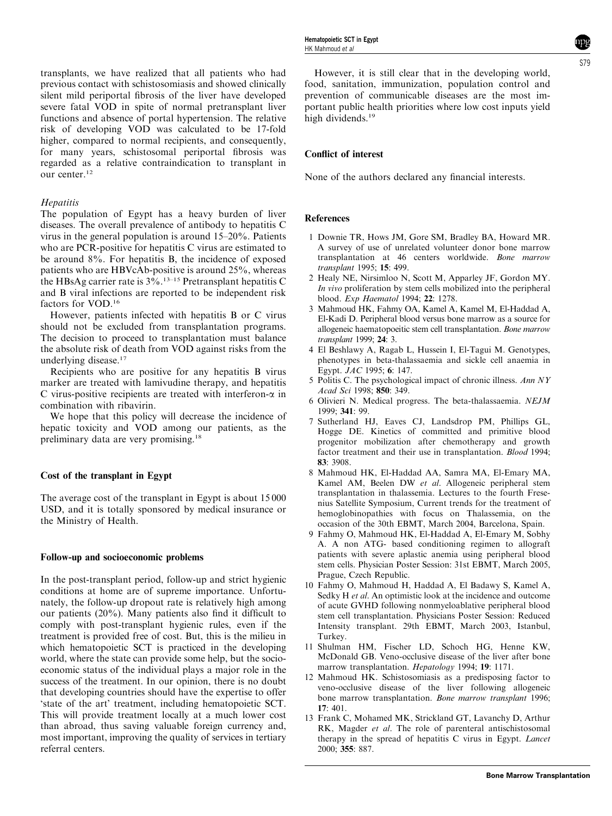<span id="page-3-0"></span>transplants, we have realized that all patients who had previous contact with schistosomiasis and showed clinically silent mild periportal fibrosis of the liver have developed severe fatal VOD in spite of normal pretransplant liver functions and absence of portal hypertension. The relative risk of developing VOD was calculated to be 17-fold higher, compared to normal recipients, and consequently, for many years, schistosomal periportal fibrosis was regarded as a relative contraindication to transplant in our center.<sup>12</sup>

## **Hepatitis**

The population of Egypt has a heavy burden of liver diseases. The overall prevalence of antibody to hepatitis C virus in the general population is around 15–20%. Patients who are PCR-positive for hepatitis C virus are estimated to be around  $8\%$ . For hepatitis B, the incidence of exposed patients who are HBVcAb-positive is around 25%, whereas the HBsAg carrier rate is  $3\dot{\%}$ .<sup>13–15</sup> Pretransplant hepatitis C and B viral infections are reported to be independent risk factors for VOD.[16](#page-4-0)

However, patients infected with hepatitis B or C virus should not be excluded from transplantation programs. The decision to proceed to transplantation must balance the absolute risk of death from VOD against risks from the underlying disease.[17](#page-4-0)

Recipients who are positive for any hepatitis B virus marker are treated with lamivudine therapy, and hepatitis C virus-positive recipients are treated with interferon- $\alpha$  in combination with ribavirin.

We hope that this policy will decrease the incidence of hepatic toxicity and VOD among our patients, as the preliminary data are very promising.[18](#page-4-0)

## Cost of the transplant in Egypt

The average cost of the transplant in Egypt is about 15 000 USD, and it is totally sponsored by medical insurance or the Ministry of Health.

## Follow-up and socioeconomic problems

In the post-transplant period, follow-up and strict hygienic conditions at home are of supreme importance. Unfortunately, the follow-up dropout rate is relatively high among our patients (20%). Many patients also find it difficult to comply with post-transplant hygienic rules, even if the treatment is provided free of cost. But, this is the milieu in which hematopoietic SCT is practiced in the developing world, where the state can provide some help, but the socioeconomic status of the individual plays a major role in the success of the treatment. In our opinion, there is no doubt that developing countries should have the expertise to offer 'state of the art' treatment, including hematopoietic SCT. This will provide treatment locally at a much lower cost than abroad, thus saving valuable foreign currency and, most important, improving the quality of services in tertiary referral centers.

However, it is still clear that in the developing world, food, sanitation, immunization, population control and prevention of communicable diseases are the most important public health priorities where low cost inputs yield high dividends.<sup>19</sup>

### Conflict of interest

None of the authors declared any financial interests.

### References

- 1 Downie TR, Hows JM, Gore SM, Bradley BA, Howard MR. A survey of use of unrelated volunteer donor bone marrow transplantation at 46 centers worldwide. Bone marrow transplant 1995; 15: 499.
- 2 Healy NE, Nirsimloo N, Scott M, Apparley JF, Gordon MY. In vivo proliferation by stem cells mobilized into the peripheral blood. Exp Haematol 1994; 22: 1278.
- 3 Mahmoud HK, Fahmy OA, Kamel A, Kamel M, El-Haddad A, El-Kadi D. Peripheral blood versus bone marrow as a source for allogeneic haematopoeitic stem cell transplantation. Bone marrow transplant 1999; 24: 3.
- 4 El Beshlawy A, Ragab L, Hussein I, El-Tagui M. Genotypes, phenotypes in beta-thalassaemia and sickle cell anaemia in Egypt. JAC 1995; 6: 147.
- 5 Politis C. The psychological impact of chronic illness. Ann NY Acad Sci 1998; 850: 349.
- 6 Olivieri N. Medical progress. The beta-thalassaemia. NEJM 1999; 341: 99.
- 7 Sutherland HJ, Eaves CJ, Landsdrop PM, Phillips GL, Hogge DE. Kinetics of committed and primitive blood progenitor mobilization after chemotherapy and growth factor treatment and their use in transplantation. Blood 1994; 83: 3908.
- 8Mahmoud HK, El-Haddad AA, Samra MA, El-Emary MA, Kamel AM, Beelen DW et al. Allogeneic peripheral stem transplantation in thalassemia. Lectures to the fourth Fresenius Satellite Symposium, Current trends for the treatment of hemoglobinopathies with focus on Thalassemia, on the occasion of the 30th EBMT, March 2004, Barcelona, Spain.
- 9 Fahmy O, Mahmoud HK, El-Haddad A, El-Emary M, Sobhy A. A non ATG- based conditioning regimen to allograft patients with severe aplastic anemia using peripheral blood stem cells. Physician Poster Session: 31st EBMT, March 2005, Prague, Czech Republic.
- 10 Fahmy O, Mahmoud H, Haddad A, El Badawy S, Kamel A, Sedky H et al. An optimistic look at the incidence and outcome of acute GVHD following nonmyeloablative peripheral blood stem cell transplantation. Physicians Poster Session: Reduced Intensity transplant. 29th EBMT, March 2003, Istanbul, Turkey.
- 11 Shulman HM, Fischer LD, Schoch HG, Henne KW, McDonald GB. Veno-occlusive disease of the liver after bone marrow transplantation. Hepatology 1994; 19: 1171.
- 12 Mahmoud HK. Schistosomiasis as a predisposing factor to veno-occlusive disease of the liver following allogeneic bone marrow transplantation. Bone marrow transplant 1996; 17: 401.
- 13 Frank C, Mohamed MK, Strickland GT, Lavanchy D, Arthur RK, Magder et al. The role of parenteral antischistosomal therapy in the spread of hepatitis C virus in Egypt. Lancet 2000; 355: 887.